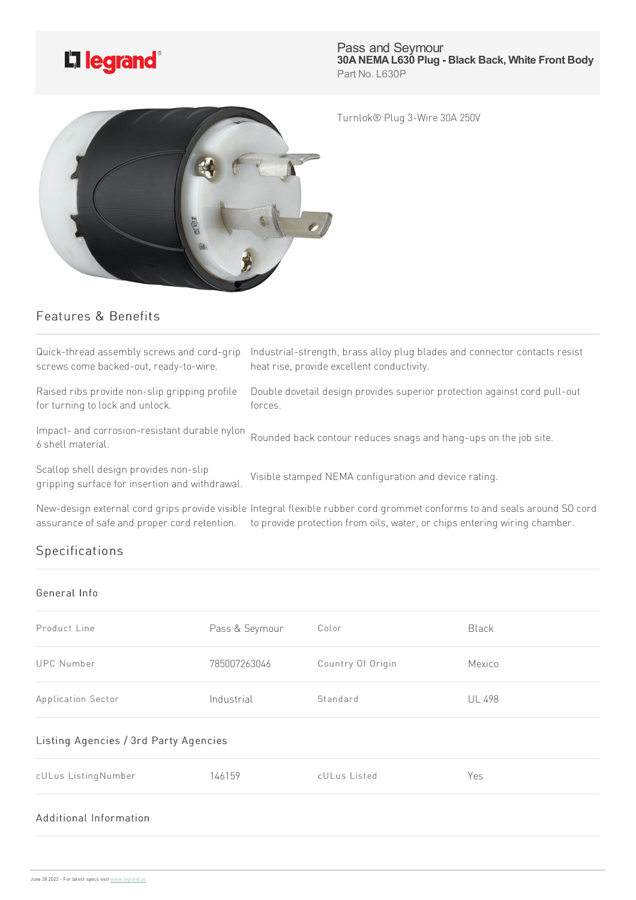

Pass and Seymour **30ANEMAL630 Plug - Black Back, White Front Body** Part No. L630P

Turnlok® Plug 3-Wire30A250V



## Features & Benefits

| Quick-thread assembly screws and cord-grip<br>screws come backed-out, ready-to-wire.     | Industrial-strength, brass alloy plug blades and connector contacts resist<br>heat rise, provide excellent conductivity.                                                                               |
|------------------------------------------------------------------------------------------|--------------------------------------------------------------------------------------------------------------------------------------------------------------------------------------------------------|
| Raised ribs provide non-slip gripping profile<br>for turning to lock and unlock.         | Double dovetail design provides superior protection against cord pull-out<br>forces.                                                                                                                   |
| Impact- and corrosion-resistant durable nylon<br>6 shell material.                       | Rounded back contour reduces snags and hang-ups on the job site.                                                                                                                                       |
| Scallop shell design provides non-slip<br>gripping surface for insertion and withdrawal. | Visible stamped NEMA configuration and device rating.                                                                                                                                                  |
| assurance of safe and proper cord retention.                                             | New-design external cord grips provide visible Integral flexible rubber cord grommet conforms to and seals around SO cord<br>to provide protection from oils, water, or chips entering wiring chamber. |

## Specifications

## General Info

| Product Line                          | Pass & Seymour | Color             | Black         |  |  |
|---------------------------------------|----------------|-------------------|---------------|--|--|
| <b>UPC Number</b>                     | 785007263046   | Country Of Origin | Mexico        |  |  |
| Application Sector                    | Industrial     | Standard          | <b>UL 498</b> |  |  |
| Listing Agencies / 3rd Party Agencies |                |                   |               |  |  |
| cULus ListingNumber                   | 146159         | cULus Listed      | Yes           |  |  |
| Additional Information                |                |                   |               |  |  |
|                                       |                |                   |               |  |  |